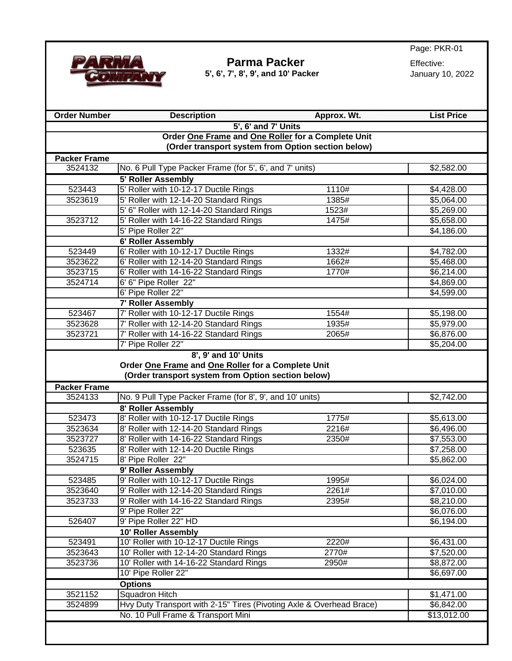

#### **Parma Packer**<br> **17, 8', 9', and 10' Packer**<br> **19, 2022** *Packer* **5', 6', 7', 8', 9', and 10' Packer**

Page: PKR-01

| <b>Order Number</b> | <b>Description</b>                                                   | Approx. Wt. | <b>List Price</b>  |  |
|---------------------|----------------------------------------------------------------------|-------------|--------------------|--|
|                     | 5', 6' and 7' Units                                                  |             |                    |  |
|                     | Order One Frame and One Roller for a Complete Unit                   |             |                    |  |
|                     | (Order transport system from Option section below)                   |             |                    |  |
| <b>Packer Frame</b> |                                                                      |             |                    |  |
| 3524132             | No. 6 Pull Type Packer Frame (for 5', 6', and 7' units)              |             | \$2,582.00         |  |
|                     | <b>5' Roller Assembly</b>                                            |             |                    |  |
| 523443              | 5' Roller with 10-12-17 Ductile Rings                                | 1110#       | \$4,428.00         |  |
| 3523619             | 5' Roller with 12-14-20 Standard Rings                               | 1385#       | \$5,064.00         |  |
|                     | 5' 6" Roller with 12-14-20 Standard Rings                            | 1523#       | \$5,269.00         |  |
| 3523712             | 5' Roller with 14-16-22 Standard Rings                               | 1475#       | \$5,658.00         |  |
|                     | 5' Pipe Roller 22"                                                   |             | \$4,186.00         |  |
|                     | 6' Roller Assembly                                                   |             |                    |  |
| 523449              | 6' Roller with 10-12-17 Ductile Rings                                | 1332#       | \$4,782.00         |  |
| 3523622             | 6' Roller with 12-14-20 Standard Rings                               | 1662#       | \$5,468.00         |  |
| 3523715             | 6' Roller with 14-16-22 Standard Rings                               | 1770#       | \$6,214.00         |  |
| 3524714             | 6' 6" Pipe Roller 22"                                                |             | \$4,869.00         |  |
|                     | 6' Pipe Roller 22"                                                   |             | \$4,599.00         |  |
|                     | 7' Roller Assembly                                                   |             |                    |  |
| 523467              | 7' Roller with 10-12-17 Ductile Rings                                | 1554#       | \$5,198.00         |  |
| 3523628             | 7' Roller with 12-14-20 Standard Rings                               | 1935#       | \$5,979.00         |  |
| 3523721             |                                                                      | 2065#       | \$6,876.00         |  |
|                     | 7' Roller with 14-16-22 Standard Rings<br>7' Pipe Roller 22"         |             | \$5,204.00         |  |
|                     |                                                                      |             |                    |  |
|                     | 8', 9' and 10' Units                                                 |             |                    |  |
|                     | Order One Frame and One Roller for a Complete Unit                   |             |                    |  |
|                     | (Order transport system from Option section below)                   |             |                    |  |
| <b>Packer Frame</b> |                                                                      |             |                    |  |
| 3524133             | No. 9 Pull Type Packer Frame (for 8', 9', and 10' units)             |             | \$2,742.00         |  |
|                     | 8' Roller Assembly                                                   |             |                    |  |
| 523473              | 8' Roller with 10-12-17 Ductile Rings                                | 1775#       | \$5,613.00         |  |
| 3523634             | 8' Roller with 12-14-20 Standard Rings                               | 2216#       | \$6,496.00         |  |
| 3523727             | 8' Roller with 14-16-22 Standard Rings                               | 2350#       | \$7,553.00         |  |
| 523635              | 8' Roller with 12-14-20 Ductile Rings                                |             | \$7,258.00         |  |
| 3524715             | 8' Pipe Roller 22"                                                   |             | \$5,862.00         |  |
|                     | 9' Roller Assembly                                                   |             |                    |  |
| 523485              | 9' Roller with 10-12-17 Ductile Rings                                | 1995#       | \$6,024.00         |  |
| 3523640             | 9' Roller with 12-14-20 Standard Rings                               | 2261#       | \$7,010.00         |  |
| 3523733             | 9' Roller with 14-16-22 Standard Rings                               | 2395#       | \$8,210.00         |  |
|                     | 9' Pipe Roller 22"                                                   |             | \$6,076.00         |  |
| 526407              | 9' Pipe Roller 22" HD                                                |             | $\sqrt{$6,194.00}$ |  |
|                     | 10' Roller Assembly                                                  |             |                    |  |
| 523491              | 10' Roller with 10-12-17 Ductile Rings                               | 2220#       | \$6,431.00         |  |
| 3523643             | 10' Roller with 12-14-20 Standard Rings                              | 2770#       | \$7,520.00         |  |
| 3523736             | 10' Roller with 14-16-22 Standard Rings                              | 2950#       | \$8,872.00         |  |
|                     | 10' Pipe Roller 22"                                                  |             | \$6,697.00         |  |
| <b>Options</b>      |                                                                      |             |                    |  |
| 3521152             | <b>Squadron Hitch</b>                                                |             | \$1,471.00         |  |
| 3524899             | Hvy Duty Transport with 2-15" Tires (Pivoting Axle & Overhead Brace) |             | \$6,842.00         |  |
|                     | No. 10 Pull Frame & Transport Mini                                   |             | \$13,012.00        |  |
|                     |                                                                      |             |                    |  |
|                     |                                                                      |             |                    |  |
|                     |                                                                      |             |                    |  |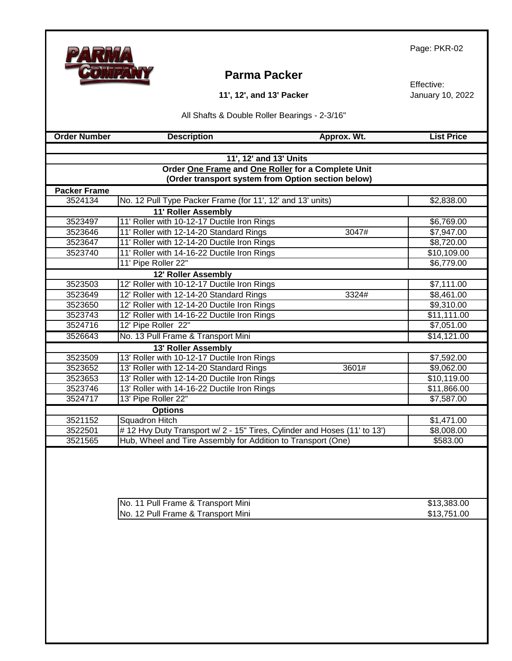## **Parma Packer**

**11', 12', and 13' Packer**

Effective: January 10, 2022

All Shafts & Double Roller Bearings - 2-3/16"

 **Calculate Contract Contract Contract Contract Contract Contract Contract Contract Contract Contract Contract Contract Contract Contract Contract Contract Contract Contract Contract Contract Contract Contract Contract Con** 

| 11', 12' and 13' Units                             |                                                                          |                        |  |
|----------------------------------------------------|--------------------------------------------------------------------------|------------------------|--|
| Order One Frame and One Roller for a Complete Unit |                                                                          |                        |  |
| (Order transport system from Option section below) |                                                                          |                        |  |
| <b>Packer Frame</b>                                |                                                                          |                        |  |
| 3524134                                            | No. 12 Pull Type Packer Frame (for 11', 12' and 13' units)               | \$2,838.00             |  |
|                                                    | 11' Roller Assembly                                                      |                        |  |
| 3523497                                            | 11' Roller with 10-12-17 Ductile Iron Rings                              | \$6,769.00             |  |
| 3523646                                            | 11' Roller with 12-14-20 Standard Rings<br>3047#                         | \$7,947.00             |  |
| 3523647                                            | 11' Roller with 12-14-20 Ductile Iron Rings                              | \$8,720.00             |  |
| 3523740                                            | 11' Roller with 14-16-22 Ductile Iron Rings                              | \$10,109.00            |  |
|                                                    | 11' Pipe Roller 22"                                                      | \$6,779.00             |  |
| 12' Roller Assembly                                |                                                                          |                        |  |
| 3523503                                            | 12' Roller with 10-12-17 Ductile Iron Rings                              | $\overline{$7,111.00}$ |  |
| 3523649                                            | 12' Roller with 12-14-20 Standard Rings<br>3324#                         | \$8,461.00             |  |
| 3523650                                            | 12' Roller with 12-14-20 Ductile Iron Rings                              | \$9,310.00             |  |
| 3523743                                            | 12' Roller with 14-16-22 Ductile Iron Rings                              | \$11,111.00            |  |
| 3524716                                            | 12' Pipe Roller 22"                                                      | \$7,051.00             |  |
| 3526643                                            | No. 13 Pull Frame & Transport Mini                                       | \$14,121.00            |  |
|                                                    | 13' Roller Assembly                                                      |                        |  |
| 3523509                                            | 13' Roller with 10-12-17 Ductile Iron Rings                              | \$7,592.00             |  |
| 3523652                                            | 13' Roller with 12-14-20 Standard Rings<br>3601#                         | \$9,062.00             |  |
| 3523653                                            | 13' Roller with 12-14-20 Ductile Iron Rings                              | \$10,119.00            |  |
| 3523746                                            | 13' Roller with 14-16-22 Ductile Iron Rings                              | \$11,866.00            |  |
| 3524717                                            | 13' Pipe Roller 22"                                                      | \$7,587.00             |  |
| <b>Options</b>                                     |                                                                          |                        |  |
| 3521152                                            | <b>Squadron Hitch</b>                                                    | \$1,471.00             |  |
| 3522501                                            | #12 Hvy Duty Transport w/ 2 - 15" Tires, Cylinder and Hoses (11' to 13') | \$8,008.00             |  |
| 3521565                                            | Hub, Wheel and Tire Assembly for Addition to Transport (One)             | \$583.00               |  |

| No. 11 Pull Frame & Transport Mini | \$13,383.00 |
|------------------------------------|-------------|
| No. 12 Pull Frame & Transport Mini | \$13,751.00 |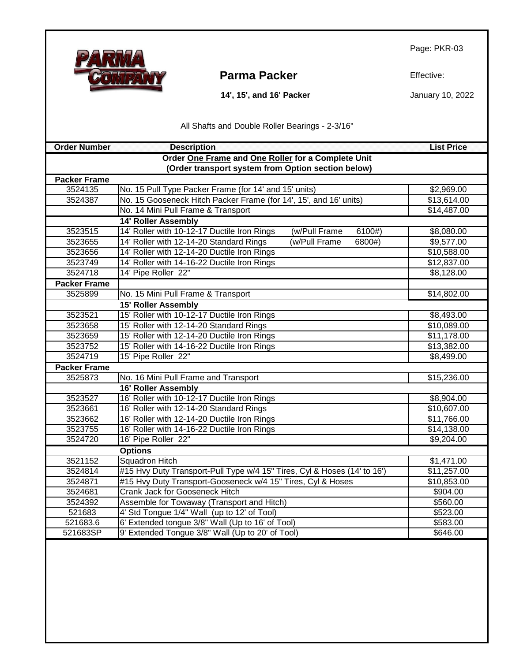

### **Parma Packer** Effective:

 **14', 15', and 16' Packer**

January 10, 2022

All Shafts and Double Roller Bearings - 2-3/16"

| <b>Order Number</b>                                | <b>Description</b>                                                       | <b>List Price</b> |  |
|----------------------------------------------------|--------------------------------------------------------------------------|-------------------|--|
|                                                    | Order One Frame and One Roller for a Complete Unit                       |                   |  |
| (Order transport system from Option section below) |                                                                          |                   |  |
| <b>Packer Frame</b>                                |                                                                          |                   |  |
| 3524135                                            | No. 15 Pull Type Packer Frame (for 14' and 15' units)                    | \$2,969.00        |  |
| 3524387                                            | No. 15 Gooseneck Hitch Packer Frame (for 14', 15', and 16' units)        | \$13,614.00       |  |
|                                                    | No. 14 Mini Pull Frame & Transport                                       | \$14,487.00       |  |
|                                                    | <b>14' Roller Assembly</b>                                               |                   |  |
| 3523515                                            | 14' Roller with 10-12-17 Ductile Iron Rings<br>(w/Pull Frame<br>6100#)   | \$8,080.00        |  |
| 3523655                                            | 14' Roller with 12-14-20 Standard Rings<br>(w/Pull Frame<br>6800#)       | \$9,577.00        |  |
| 3523656                                            | 14' Roller with 12-14-20 Ductile Iron Rings                              | \$10,588.00       |  |
| 3523749                                            | 14' Roller with 14-16-22 Ductile Iron Rings                              | \$12,837.00       |  |
| 3524718                                            | 14' Pipe Roller 22"                                                      | \$8,128.00        |  |
| <b>Packer Frame</b>                                |                                                                          |                   |  |
| 3525899                                            | No. 15 Mini Pull Frame & Transport                                       | \$14,802.00       |  |
|                                                    | <b>15' Roller Assembly</b>                                               |                   |  |
| 3523521                                            | 15' Roller with 10-12-17 Ductile Iron Rings                              | \$8,493.00        |  |
| 3523658                                            | 15' Roller with 12-14-20 Standard Rings                                  | \$10,089.00       |  |
| 3523659                                            | 15' Roller with 12-14-20 Ductile Iron Rings                              | \$11,178.00       |  |
| 3523752                                            | 15' Roller with 14-16-22 Ductile Iron Rings                              | \$13,382.00       |  |
| 3524719                                            | 15' Pipe Roller 22"                                                      | \$8,499.00        |  |
| <b>Packer Frame</b>                                |                                                                          |                   |  |
| 3525873                                            | No. 16 Mini Pull Frame and Transport                                     | \$15,236.00       |  |
|                                                    | 16' Roller Assembly                                                      |                   |  |
| 3523527                                            | 16' Roller with 10-12-17 Ductile Iron Rings                              | \$8,904.00        |  |
| 3523661                                            | 16' Roller with 12-14-20 Standard Rings                                  | \$10,607.00       |  |
| 3523662                                            | 16' Roller with 12-14-20 Ductile Iron Rings                              | \$11,766.00       |  |
| 3523755                                            | 16' Roller with 14-16-22 Ductile Iron Rings                              | \$14,138.00       |  |
| 3524720                                            | 16' Pipe Roller 22"                                                      | \$9,204.00        |  |
|                                                    | <b>Options</b>                                                           |                   |  |
| 3521152                                            | <b>Squadron Hitch</b>                                                    | \$1,471.00        |  |
| 3524814                                            | #15 Hvy Duty Transport-Pull Type w/4 15" Tires, Cyl & Hoses (14' to 16') | \$11,257.00       |  |
| 3524871                                            | #15 Hvy Duty Transport-Gooseneck w/4 15" Tires, Cyl & Hoses              | \$10,853.00       |  |
| 3524681                                            | <b>Crank Jack for Gooseneck Hitch</b>                                    | \$904.00          |  |
| 3524392                                            | Assemble for Towaway (Transport and Hitch)                               | \$560.00          |  |
| 521683                                             | 4' Std Tongue 1/4" Wall (up to 12' of Tool)                              | \$523.00          |  |
| 521683.6                                           | 6' Extended tongue 3/8" Wall (Up to 16' of Tool)                         | \$583.00          |  |
| 521683SP                                           | 9' Extended Tongue 3/8" Wall (Up to 20' of Tool)                         | \$646.00          |  |
|                                                    |                                                                          |                   |  |
|                                                    |                                                                          |                   |  |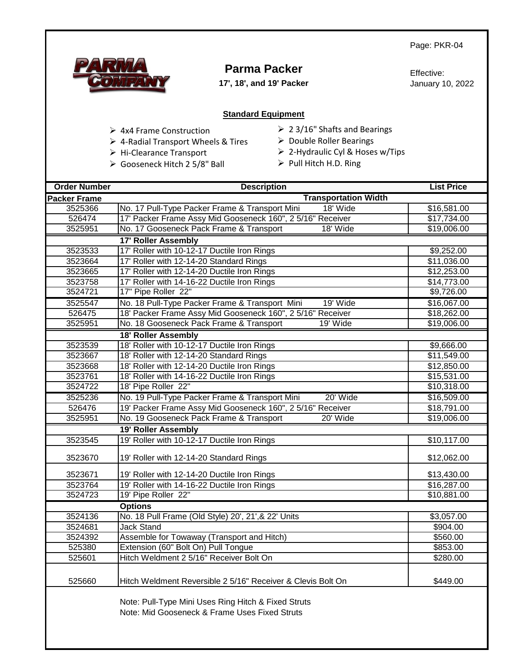

## **Parma Packer**

**17', 18', and 19' Packer**

Effective: January 10, 2022

#### **Standard Equipment**

- ➢ 4x4 Frame Construction
- ➢ 4-Radial Transport Wheels & Tires
- ➢ Hi-Clearance Transport
- ➢ Gooseneck Hitch 2 5/8" Ball
- ➢ 2 3/16" Shafts and Bearings
- ➢ Double Roller Bearings
- ➢ 2-Hydraulic Cyl & Hoses w/Tips
- ➢ Pull Hitch H.D. Ring

| <b>Order Number</b> | <b>Description</b>                                                                                   | <b>List Price</b> |  |
|---------------------|------------------------------------------------------------------------------------------------------|-------------------|--|
| <b>Packer Frame</b> | <b>Transportation Width</b>                                                                          |                   |  |
| 3525366             | No. 17 Pull-Type Packer Frame & Transport Mini<br>18' Wide                                           | \$16,581.00       |  |
| 526474              | 17' Packer Frame Assy Mid Gooseneck 160", 2 5/16" Receiver                                           | \$17,734.00       |  |
| 3525951             | No. 17 Gooseneck Pack Frame & Transport<br>18' Wide                                                  | \$19,006.00       |  |
|                     | 17' Roller Assembly                                                                                  |                   |  |
| 3523533             | 17' Roller with 10-12-17 Ductile Iron Rings                                                          | \$9,252.00        |  |
| 3523664             | 17' Roller with 12-14-20 Standard Rings                                                              | \$11,036.00       |  |
| 3523665             | 17' Roller with 12-14-20 Ductile Iron Rings                                                          | \$12,253.00       |  |
| 3523758             | 17' Roller with 14-16-22 Ductile Iron Rings                                                          | \$14,773.00       |  |
| 3524721             | 17" Pipe Roller 22"                                                                                  | \$9,726.00        |  |
| 3525547             | No. 18 Pull-Type Packer Frame & Transport Mini<br>19' Wide                                           | \$16,067.00       |  |
| 526475              | 18' Packer Frame Assy Mid Gooseneck 160", 2 5/16" Receiver                                           | \$18,262.00       |  |
| 3525951             | No. 18 Gooseneck Pack Frame & Transport<br>19' Wide                                                  | \$19,006.00       |  |
|                     | 18' Roller Assembly                                                                                  |                   |  |
| 3523539             | 18' Roller with 10-12-17 Ductile Iron Rings                                                          | \$9,666.00        |  |
| 3523667             | 18' Roller with 12-14-20 Standard Rings                                                              | \$11,549.00       |  |
| 3523668             | 18' Roller with 12-14-20 Ductile Iron Rings                                                          | \$12,850.00       |  |
| 3523761             | 18' Roller with 14-16-22 Ductile Iron Rings                                                          | \$15,531.00       |  |
| 3524722             | 18' Pipe Roller 22"                                                                                  | \$10,318.00       |  |
| 3525236             | No. 19 Pull-Type Packer Frame & Transport Mini<br>20' Wide                                           | \$16,509.00       |  |
| 526476              | 19' Packer Frame Assy Mid Gooseneck 160", 2 5/16" Receiver                                           | \$18,791.00       |  |
| 3525951             | No. 19 Gooseneck Pack Frame & Transport<br>20' Wide                                                  | \$19,006.00       |  |
|                     | 19' Roller Assembly                                                                                  |                   |  |
| 3523545             | 19' Roller with 10-12-17 Ductile Iron Rings                                                          | \$10,117.00       |  |
| 3523670             | 19' Roller with 12-14-20 Standard Rings                                                              | \$12,062.00       |  |
| 3523671             | 19' Roller with 12-14-20 Ductile Iron Rings                                                          | \$13,430.00       |  |
| 3523764             | 19' Roller with 14-16-22 Ductile Iron Rings                                                          | \$16,287.00       |  |
| 3524723             | 19' Pipe Roller 22"                                                                                  | \$10,881.00       |  |
|                     | <b>Options</b>                                                                                       |                   |  |
| 3524136             | No. 18 Pull Frame (Old Style) 20', 21', & 22' Units                                                  | \$3,057.00        |  |
| 3524681             | <b>Jack Stand</b>                                                                                    | \$904.00          |  |
| 3524392             | Assemble for Towaway (Transport and Hitch)                                                           | \$560.00          |  |
| 525380              | Extension (60" Bolt On) Pull Tongue                                                                  | \$853.00          |  |
| 525601              | Hitch Weldment 2 5/16" Receiver Bolt On                                                              | \$280.00          |  |
| 525660              | Hitch Weldment Reversible 2 5/16" Receiver & Clevis Bolt On                                          | \$449.00          |  |
|                     | Note: Pull-Type Mini Uses Ring Hitch & Fixed Struts<br>Note: Mid Gooseneck & Frame Uses Fixed Struts |                   |  |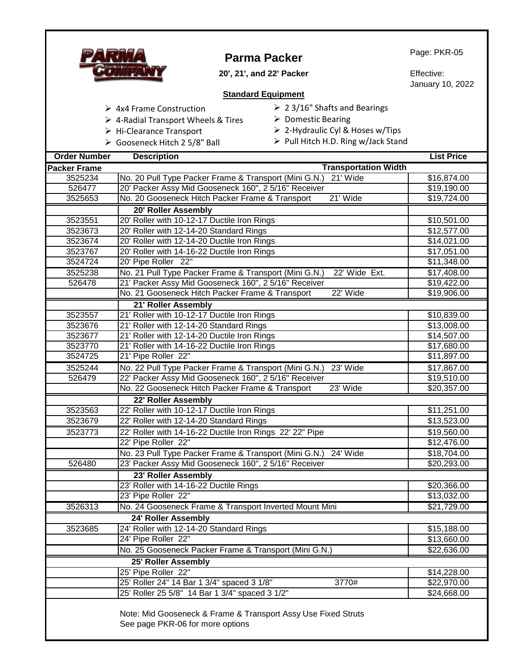|                                | <b>Parma Packer</b>                                                                               | Page: PKR-05                   |
|--------------------------------|---------------------------------------------------------------------------------------------------|--------------------------------|
|                                | 20', 21', and 22' Packer                                                                          | Effective:<br>January 10, 2022 |
|                                | <b>Standard Equipment</b>                                                                         |                                |
|                                | $\geq$ 23/16" Shafts and Bearings<br>$\triangleright$ 4x4 Frame Construction                      |                                |
|                                | $\triangleright$ Domestic Bearing<br>$\triangleright$ 4-Radial Transport Wheels & Tires           |                                |
|                                | $\triangleright$ 2-Hydraulic Cyl & Hoses w/Tips<br>> Hi-Clearance Transport                       |                                |
|                                | > Pull Hitch H.D. Ring w/Jack Stand<br>> Gooseneck Hitch 2 5/8" Ball                              |                                |
|                                |                                                                                                   |                                |
| <b>Order Number</b>            | <b>Description</b>                                                                                | <b>List Price</b>              |
| <b>Packer Frame</b><br>3525234 | <b>Transportation Width</b><br>No. 20 Pull Type Packer Frame & Transport (Mini G.N.)<br>21' Wide  | \$16,874.00                    |
| 526477                         | 20' Packer Assy Mid Gooseneck 160", 2 5/16" Receiver                                              | \$19,190.00                    |
| 3525653                        | No. 20 Gooseneck Hitch Packer Frame & Transport<br>21' Wide                                       | \$19,724.00                    |
|                                | 20' Roller Assembly                                                                               |                                |
| 3523551                        | 20' Roller with 10-12-17 Ductile Iron Rings                                                       | \$10,501.00                    |
| 3523673                        | 20' Roller with 12-14-20 Standard Rings                                                           | \$12,577.00                    |
| 3523674                        | 20' Roller with 12-14-20 Ductile Iron Rings                                                       | \$14,021.00                    |
| 3523767                        | 20' Roller with 14-16-22 Ductile Iron Rings                                                       | \$17,051.00                    |
| 3524724                        | 20' Pipe Roller 22"                                                                               | \$11,348.00                    |
| 3525238                        | No. 21 Pull Type Packer Frame & Transport (Mini G.N.)<br>22' Wide Ext.                            | \$17,408.00                    |
| 526478                         | 21' Packer Assy Mid Gooseneck 160", 2 5/16" Receiver                                              | \$19,422.00                    |
|                                | 22' Wide<br>No. 21 Gooseneck Hitch Packer Frame & Transport                                       | \$19,906.00                    |
|                                | 21' Roller Assembly                                                                               |                                |
| 3523557                        | 21' Roller with 10-12-17 Ductile Iron Rings                                                       | \$10,839.00                    |
| 3523676                        | 21' Roller with 12-14-20 Standard Rings                                                           | \$13,008.00                    |
| 3523677                        | 21' Roller with 12-14-20 Ductile Iron Rings                                                       | \$14,507.00                    |
| 3523770                        | 21' Roller with 14-16-22 Ductile Iron Rings                                                       | \$17,680.00                    |
| 3524725                        | 21' Pipe Roller 22"                                                                               | \$11,897.00                    |
| 3525244                        | No. 22 Pull Type Packer Frame & Transport (Mini G.N.)<br>23' Wide                                 | \$17,867.00                    |
| 526479                         | 22' Packer Assy Mid Gooseneck 160", 25/16" Receiver                                               | \$19,510.00                    |
|                                | No. 22 Gooseneck Hitch Packer Frame & Transport<br>23' Wide                                       | \$20,357.00                    |
|                                | 22' Roller Assembly                                                                               |                                |
| 3523563                        | 22' Roller with 10-12-17 Ductile Iron Rings                                                       | \$11,251.00                    |
| 3523679                        | 22' Roller with 12-14-20 Standard Rings                                                           | \$13,523.00                    |
| 3523773                        | 22' Roller with 14-16-22 Ductile Iron Rings 22' 22" Pipe                                          | \$19,560.00                    |
|                                | 22' Pipe Roller 22"                                                                               | \$12,476.00                    |
|                                | 24' Wide<br>No. 23 Pull Type Packer Frame & Transport (Mini G.N.)                                 | \$18,704.00                    |
| 526480                         | 23' Packer Assy Mid Gooseneck 160", 2 5/16" Receiver                                              | \$20,293.00                    |
|                                | 23' Roller Assembly                                                                               |                                |
|                                | 23' Roller with 14-16-22 Ductile Rings                                                            | \$20,366.00                    |
|                                | 23' Pipe Roller 22"                                                                               | \$13,032.00                    |
| 3526313                        | No. 24 Gooseneck Frame & Transport Inverted Mount Mini                                            | \$21,729.00                    |
|                                | 24' Roller Assembly                                                                               |                                |
| 3523685                        | 24' Roller with 12-14-20 Standard Rings                                                           | \$15,188.00                    |
|                                | 24' Pipe Roller 22"                                                                               | \$13,660.00                    |
|                                | No. 25 Gooseneck Packer Frame & Transport (Mini G.N.)                                             | \$22,636.00                    |
|                                | 25' Roller Assembly                                                                               |                                |
|                                | 25' Pipe Roller 22"                                                                               | \$14,228.00                    |
|                                | 25' Roller 24" 14 Bar 1 3/4" spaced 3 1/8"<br>3770#                                               | \$22,970.00                    |
|                                | 25' Roller 25 5/8" 14 Bar 1 3/4" spaced 3 1/2"                                                    | \$24,668.00                    |
|                                | Note: Mid Gooseneck & Frame & Transport Assy Use Fixed Struts<br>See page PKR-06 for more options |                                |

Г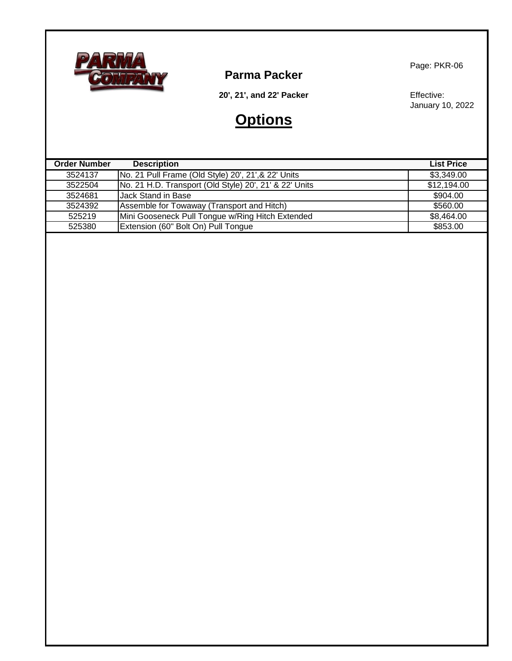

**Parma Packer**

Page: PKR-06

**20', 21', and 22' Packer**

# **Options**

Effective: January 10, 2022

| <b>Order Number</b> | <b>Description</b>                                     | <b>List Price</b> |
|---------------------|--------------------------------------------------------|-------------------|
| 3524137             | No. 21 Pull Frame (Old Style) 20', 21', & 22' Units    | \$3,349.00        |
| 3522504             | No. 21 H.D. Transport (Old Style) 20', 21' & 22' Units | \$12,194.00       |
| 3524681             | <b>Uack Stand in Base</b>                              | \$904.00          |
| 3524392             | Assemble for Towaway (Transport and Hitch)             | \$560.00          |
| 525219              | Mini Gooseneck Pull Tongue w/Ring Hitch Extended       | \$8,464.00        |
| 525380              | Extension (60" Bolt On) Pull Tongue                    | \$853.00          |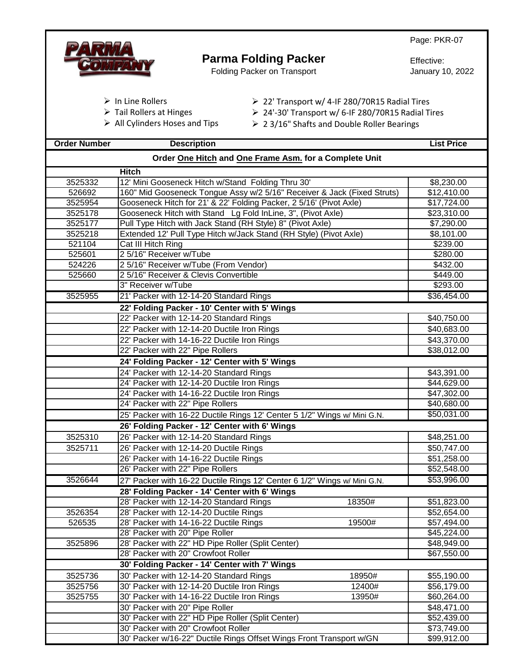|                     |                                                                                                  | Page: PKR-07      |
|---------------------|--------------------------------------------------------------------------------------------------|-------------------|
|                     | <b>Parma Folding Packer</b>                                                                      |                   |
|                     |                                                                                                  | Effective:        |
|                     | Folding Packer on Transport                                                                      | January 10, 2022  |
|                     |                                                                                                  |                   |
|                     | $\triangleright$ In Line Rollers<br>$\geq$ 22' Transport w/ 4-IF 280/70R15 Radial Tires          |                   |
|                     | $\triangleright$ Tail Rollers at Hinges<br>▶ 24'-30' Transport w/ 6-IF 280/70R15 Radial Tires    |                   |
|                     | $\triangleright$ All Cylinders Hoses and Tips<br>$\geq$ 23/16" Shafts and Double Roller Bearings |                   |
|                     |                                                                                                  |                   |
| <b>Order Number</b> | <b>Description</b>                                                                               | <b>List Price</b> |
|                     | Order One Hitch and One Frame Asm. for a Complete Unit                                           |                   |
|                     | <b>Hitch</b>                                                                                     |                   |
| 3525332             | 12' Mini Gooseneck Hitch w/Stand Folding Thru 30'                                                | \$8,230.00        |
| 526692              | 160" Mid Gooseneck Tongue Assy w/2 5/16" Receiver & Jack (Fixed Struts)                          | \$12,410.00       |
| 3525954             | Gooseneck Hitch for 21' & 22' Folding Packer, 2 5/16' (Pivot Axle)                               | \$17,724.00       |
| 3525178             | Gooseneck Hitch with Stand Lg Fold InLine, 3", (Pivot Axle)                                      | \$23,310.00       |
| 3525177             | Pull Type Hitch with Jack Stand (RH Style) 8" (Pivot Axle)                                       | \$7,290.00        |
| 3525218             | Extended 12' Pull Type Hitch w/Jack Stand (RH Style) (Pivot Axle)                                | \$8,101.00        |
| 521104              | Cat III Hitch Ring                                                                               | \$239.00          |
| 525601              | 2 5/16" Receiver w/Tube                                                                          | \$280.00          |
| 524226              | 2 5/16" Receiver w/Tube (From Vendor)                                                            | \$432.00          |
| 525660              | 2 5/16" Receiver & Clevis Convertible                                                            | \$449.00          |
|                     | 3" Receiver w/Tube                                                                               | \$293.00          |
| 3525955             | 21' Packer with 12-14-20 Standard Rings                                                          | \$36,454.00       |
|                     | 22' Folding Packer - 10' Center with 5' Wings                                                    |                   |
|                     | 22' Packer with 12-14-20 Standard Rings                                                          | \$40,750.00       |
|                     | 22' Packer with 12-14-20 Ductile Iron Rings                                                      | \$40,683.00       |
|                     | 22' Packer with 14-16-22 Ductile Iron Rings                                                      | \$43,370.00       |
|                     | 22' Packer with 22" Pipe Rollers                                                                 | \$38,012.00       |
|                     | 24' Folding Packer - 12' Center with 5' Wings                                                    |                   |
|                     | 24' Packer with 12-14-20 Standard Rings                                                          | \$43,391.00       |
|                     | 24' Packer with 12-14-20 Ductile Iron Rings                                                      | \$44,629.00       |
|                     | 24' Packer with 14-16-22 Ductile Iron Rings                                                      | \$47,302.00       |
|                     | 24' Packer with 22" Pipe Rollers                                                                 | \$40,680.00       |
|                     | 25' Packer with 16-22 Ductile Rings 12' Center 5 1/2" Wings w/ Mini G.N.                         | \$50,031.00       |
|                     | 26' Folding Packer - 12' Center with 6' Wings                                                    |                   |
| 3525310             | 26' Packer with 12-14-20 Standard Rings                                                          | \$48,251.00       |
| 3525711             | 26' Packer with 12-14-20 Ductile Rings                                                           | \$50,747.00       |
|                     | 26' Packer with 14-16-22 Ductile Rings                                                           | \$51,258.00       |
|                     | 26' Packer with 22" Pipe Rollers                                                                 | \$52,548.00       |
| 3526644             | 27' Packer with 16-22 Ductile Rings 12' Center 6 1/2" Wings w/ Mini G.N.                         | \$53,996.00       |
|                     | 28' Folding Packer - 14' Center with 6' Wings                                                    |                   |
|                     | 28' Packer with 12-14-20 Standard Rings<br>18350#                                                | \$51,823.00       |
| 3526354             | 28' Packer with 12-14-20 Ductile Rings                                                           | \$52,654.00       |
| 526535              | 28' Packer with 14-16-22 Ductile Rings<br>19500#                                                 | \$57,494.00       |
|                     | 28' Packer with 20" Pipe Roller                                                                  | \$45,224.00       |
| 3525896             | 28' Packer with 22" HD Pipe Roller (Split Center)                                                | \$48,949.00       |
|                     | 28' Packer with 20" Crowfoot Roller                                                              | \$67,550.00       |
|                     | 30' Folding Packer - 14' Center with 7' Wings                                                    |                   |
| 3525736             | 30' Packer with 12-14-20 Standard Rings<br>18950#                                                | \$55,190.00       |
| 3525756             | 30' Packer with 12-14-20 Ductile Iron Rings<br>12400#                                            | \$56,179.00       |
| 3525755             | 30' Packer with 14-16-22 Ductile Iron Rings<br>13950#                                            | \$60,264.00       |
|                     | 30' Packer with 20" Pipe Roller                                                                  | \$48,471.00       |
|                     | 30' Packer with 22" HD Pipe Roller (Split Center)                                                | \$52,439.00       |
|                     | 30' Packer with 20" Crowfoot Roller                                                              | \$73,749.00       |
|                     | 30' Packer w/16-22" Ductile Rings Offset Wings Front Transport w/GN                              | \$99,912.00       |
|                     |                                                                                                  |                   |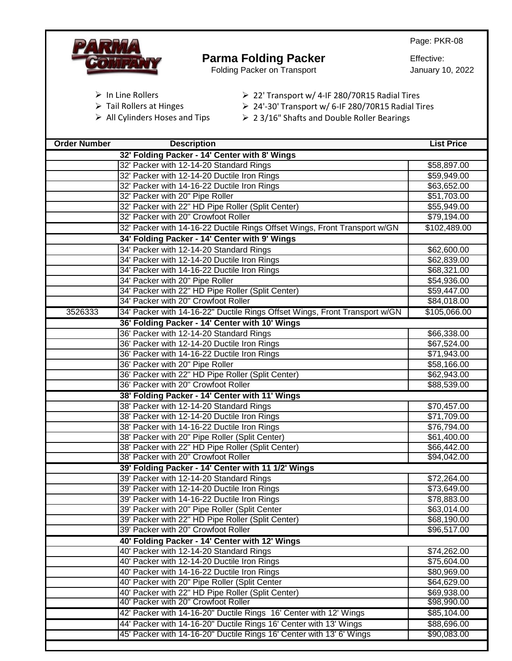

## **Parma Folding Packer**

Folding Packer on Transport

Effective: January 10, 2022

- ➢ In Line Rollers
- ➢ Tail Rollers at Hinges
- ➢ All Cylinders Hoses and Tips
- ➢ 22' Transport w/ 4-IF 280/70R15 Radial Tires
- ➢ 24'-30' Transport w/ 6-IF 280/70R15 Radial Tires
- ➢ 2 3/16" Shafts and Double Roller Bearings

| <b>Order Number</b> | <b>Description</b>                                                         | <b>List Price</b> |
|---------------------|----------------------------------------------------------------------------|-------------------|
|                     | 32' Folding Packer - 14' Center with 8' Wings                              |                   |
|                     | 32' Packer with 12-14-20 Standard Rings                                    | \$58,897.00       |
|                     | 32' Packer with 12-14-20 Ductile Iron Rings                                | \$59,949.00       |
|                     | 32' Packer with 14-16-22 Ductile Iron Rings                                | \$63,652.00       |
|                     | 32' Packer with 20" Pipe Roller                                            | \$51,703.00       |
|                     | 32' Packer with 22" HD Pipe Roller (Split Center)                          | \$55,949.00       |
|                     | 32' Packer with 20" Crowfoot Roller                                        | \$79,194.00       |
|                     | 32' Packer with 14-16-22 Ductile Rings Offset Wings, Front Transport w/GN  | \$102,489.00      |
|                     | 34' Folding Packer - 14' Center with 9' Wings                              |                   |
|                     | 34' Packer with 12-14-20 Standard Rings                                    | \$62,600.00       |
|                     | 34' Packer with 12-14-20 Ductile Iron Rings                                | \$62,839.00       |
|                     | 34' Packer with 14-16-22 Ductile Iron Rings                                | \$68,321.00       |
|                     | 34' Packer with 20" Pipe Roller                                            | \$54,936.00       |
|                     | 34' Packer with 22" HD Pipe Roller (Split Center)                          | \$59,447.00       |
|                     | 34' Packer with 20" Crowfoot Roller                                        | \$84,018.00       |
| 3526333             | 34' Packer with 14-16-22" Ductile Rings Offset Wings, Front Transport w/GN | \$105,066.00      |
|                     | 36' Folding Packer - 14' Center with 10' Wings                             |                   |
|                     | 36' Packer with 12-14-20 Standard Rings                                    | \$66,338.00       |
|                     | 36' Packer with 12-14-20 Ductile Iron Rings                                | \$67,524.00       |
|                     | 36' Packer with 14-16-22 Ductile Iron Rings                                | \$71,943.00       |
|                     | 36' Packer with 20" Pipe Roller                                            | \$58,166.00       |
|                     | 36' Packer with 22" HD Pipe Roller (Split Center)                          | \$62,943.00       |
|                     | 36' Packer with 20" Crowfoot Roller                                        | \$88,539.00       |
|                     | 38' Folding Packer - 14' Center with 11' Wings                             |                   |
|                     | 38' Packer with 12-14-20 Standard Rings                                    | \$70,457.00       |
|                     | 38' Packer with 12-14-20 Ductile Iron Rings                                | \$71,709.00       |
|                     | 38' Packer with 14-16-22 Ductile Iron Rings                                | \$76,794.00       |
|                     | 38' Packer with 20" Pipe Roller (Split Center)                             | \$61,400.00       |
|                     | 38' Packer with 22" HD Pipe Roller (Split Center)                          | \$66,442.00       |
|                     | 38' Packer with 20" Crowfoot Roller                                        | \$94,042.00       |
|                     | 39' Folding Packer - 14' Center with 11 1/2' Wings                         |                   |
|                     | 39' Packer with 12-14-20 Standard Rings                                    | \$72,264.00       |
|                     | 39' Packer with 12-14-20 Ductile Iron Rings                                | \$73,649.00       |
|                     | 39' Packer with 14-16-22 Ductile Iron Rings                                | \$78,883.00       |
|                     | 39' Packer with 20" Pipe Roller (Split Center                              | \$63,014.00       |
|                     | 39' Packer with 22" HD Pipe Roller (Split Center)                          | \$68,190.00       |
|                     | 39' Packer with 20" Crowfoot Roller                                        | \$96,517.00       |
|                     | 40' Folding Packer - 14' Center with 12' Wings                             |                   |
|                     | 40' Packer with 12-14-20 Standard Rings                                    | \$74,262.00       |
|                     | 40' Packer with 12-14-20 Ductile Iron Rings                                | \$75,604.00       |
|                     | 40' Packer with 14-16-22 Ductile Iron Rings                                | \$80,969.00       |
|                     | 40' Packer with 20" Pipe Roller (Split Center                              | \$64,629.00       |
|                     | 40' Packer with 22" HD Pipe Roller (Split Center)                          | \$69,938.00       |
|                     | 40' Packer with 20" Crowfoot Roller                                        | \$98,990.00       |
|                     | 42' Packer with 14-16-20" Ductile Rings 16' Center with 12' Wings          | \$85,104.00       |
|                     | 44' Packer with 14-16-20" Ductile Rings 16' Center with 13' Wings          | \$88,696.00       |
|                     | 45' Packer with 14-16-20" Ductile Rings 16' Center with 13' 6' Wings       | \$90,083.00       |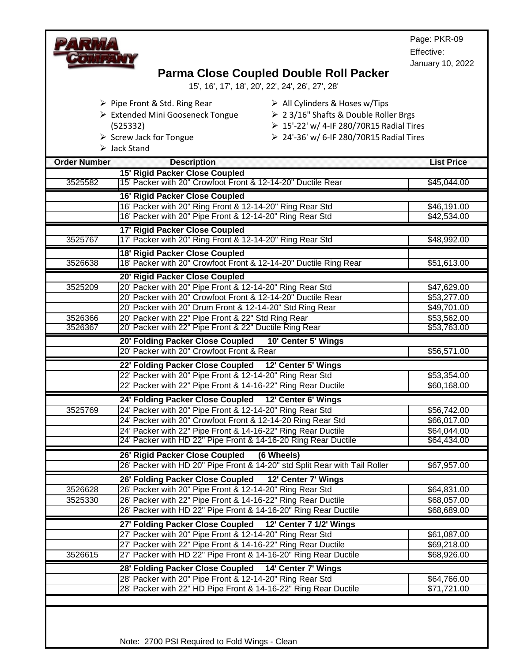Page: PKR-09 Effective: January 10, 2022 **Order Number Description List Price 15' Rigid Packer Close Coupled** 3525582 15' Packer with 20" Crowfoot Front & 12-14-20" Ductile Rear \$45,044.00 **16' Rigid Packer Close Coupled** 16' Packer with 20" Ring Front & 12-14-20" Ring Rear Std \$46,191.00 16' Packer with 20" Pipe Front & 12-14-20" Ring Rear Std **\$42,534.00 17' Rigid Packer Close Coupled** 3525767 17' Packer with 20" Ring Front & 12-14-20" Ring Rear Std \$48,992.00 **18' Rigid Packer Close Coupled** 3526638 18' Packer with 20" Crowfoot Front & 12-14-20" Ductile Ring Rear \$51,613.00 **20' Rigid Packer Close Coupled** 3525209 20' Packer with 20" Pipe Front & 12-14-20" Ring Rear Std \$47,629.00 20' Packer with 20" Crowfoot Front & 12-14-20" Ductile Rear  $\vert$  \$53,277.00 20' Packer with 20" Drum Front & 12-14-20" Std Ring Rear  $$49,701.00$ 3526366 20' Packer with 22" Pipe Front & 22" Std Ring Rear \$53,562.00 3526367 20' Packer with 22" Pipe Front & 22" Ductile Ring Rear \$53,763.00 **20' Folding Packer Close Coupled 10' Center 5' Wings** 20' Packer with 20" Crowfoot Front & Rear \$56,571.00 **22' Folding Packer Close Coupled 12' Center 5' Wings** 22' Packer with 20" Pipe Front & 12-14-20" Ring Rear Std **1998 12-14-20"** \$53,354.00 22' Packer with 22" Pipe Front & 14-16-22" Ring Rear Ductile **\$60,168.00** \$60,168.00 **24' Folding Packer Close Coupled 12' Center 6' Wings** 3525769 24' Packer with 20" Pipe Front & 12-14-20" Ring Rear Std \$56,742.00 24' Packer with 20" Crowfoot Front & 12-14-20 Ring Rear Std \$66,017.00 24' Packer with 22" Pipe Front & 14-16-22" Ring Rear Ductile \$64,044.00 24' Packer with HD 22" Pipe Front & 14-16-20 Ring Rear Ductile \$64,434.00 **26' Rigid Packer Close Coupled (6 Wheels)**  26' Packer with HD 20" Pipe Front & 14-20" std Split Rear with Tail Roller | \$67,957.00 **26' Folding Packer Close Coupled 12' Center 7' Wings**  3526628 26' Packer with 20" Pipe Front & 12-14-20" Ring Rear Std \$64,831.00 3525330 26' Packer with 22" Pipe Front & 14-16-22" Ring Rear Ductile \$68,057.00 26' Packer with HD 22" Pipe Front & 14-16-20" Ring Rear Ductile \$68,689.00 **27' Folding Packer Close Coupled 12' Center 7 1/2' Wings** 27' Packer with 20" Pipe Front & 12-14-20" Ring Rear Std **\$61,087.00** 27' Packer with 22" Pipe Front & 14-16-22" Ring Rear Ductile **1998** 1998 189,218.00 3526615 27' Packer with HD 22" Pipe Front & 14-16-20" Ring Rear Ductile \$68,926.00 **28' Folding Packer Close Coupled 14' Center 7' Wings** 28' Packer with 20" Pipe Front & 12-14-20" Ring Rear Std **\$64,766.00** 28' Packer with 22" HD Pipe Front & 14-16-22" Ring Rear Ductile \$71,721.00  **Parma Close Coupled Double Roll Packer** 15', 16', 17', 18', 20', 22', 24', 26', 27', 28' ➢ All Cylinders & Hoses w/Tips ➢ 2 3/16" Shafts & Double Roller Brgs ➢ 15'-22' w/ 4-IF 280/70R15 Radial Tires ➢ 24'-36' w/ 6-IF 280/70R15 Radial Tires ➢ Pipe Front & Std. Ring Rear ➢ Extended Mini Gooseneck Tongue (525332) ➢ Screw Jack for Tongue ➢ Jack Stand